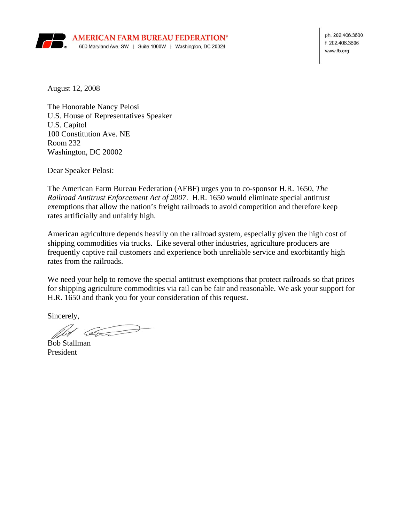

ph. 202.406.3600 f. 202.406.3606 www.fb.org

August 12, 2008

The Honorable Nancy Pelosi U.S. House of Representatives Speaker U.S. Capitol 100 Constitution Ave. NE Room 232 Washington, DC 20002

Dear Speaker Pelosi:

The American Farm Bureau Federation (AFBF) urges you to co-sponsor H.R. 1650, *The Railroad Antitrust Enforcement Act of 2007*. H.R. 1650 would eliminate special antitrust exemptions that allow the nation's freight railroads to avoid competition and therefore keep rates artificially and unfairly high.

American agriculture depends heavily on the railroad system, especially given the high cost of shipping commodities via trucks. Like several other industries, agriculture producers are frequently captive rail customers and experience both unreliable service and exorbitantly high rates from the railroads.

We need your help to remove the special antitrust exemptions that protect railroads so that prices for shipping agriculture commodities via rail can be fair and reasonable. We ask your support for H.R. 1650 and thank you for your consideration of this request.

Sincerely,

Com

Bob Stallman President